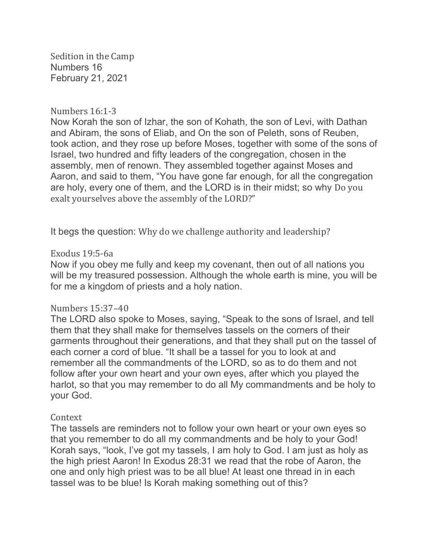Sedition in the Camp Numbers 16 February 21, 2021

### Numbers 16:1-3

Now Korah the son of Izhar, the son of Kohath, the son of Levi, with Dathan and Abiram, the sons of Eliab, and On the son of Peleth, sons of Reuben, took action, and they rose up before Moses, together with some of the sons of Israel, two hundred and fifty leaders of the congregation, chosen in the assembly, men of renown. They assembled together against Moses and Aaron, and said to them, "You have gone far enough, for all the congregation are holy, every one of them, and the LORD is in their midst; so why Do you exalt yourselves above the assembly of the LORD?"

It begs the question: Why do we challenge authority and leadership?

## Exodus 19:5-6a

Now if you obey me fully and keep my covenant, then out of all nations you will be my treasured possession. Although the whole earth is mine, you will be for me a kingdom of priests and a holy nation.

#### Numbers 15:37–40

The LORD also spoke to Moses, saying, "Speak to the sons of Israel, and tell them that they shall make for themselves tassels on the corners of their garments throughout their generations, and that they shall put on the tassel of each corner a cord of blue. "It shall be a tassel for you to look at and remember all the commandments of the LORD, so as to do them and not follow after your own heart and your own eyes, after which you played the harlot, so that you may remember to do all My commandments and be holy to your God.

# Context

The tassels are reminders not to follow your own heart or your own eyes so that you remember to do all my commandments and be holy to your God! Korah says, "look, I've got my tassels, I am holy to God. I am just as holy as the high priest Aaron! In Exodus 28:31 we read that the robe of Aaron, the one and only high priest was to be all blue! At least one thread in in each tassel was to be blue! Is Korah making something out of this?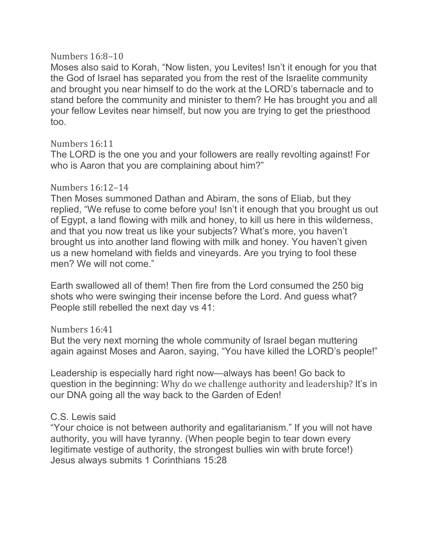## Numbers 16:8–10

Moses also said to Korah, "Now listen, you Levites! Isn't it enough for you that the God of Israel has separated you from the rest of the Israelite community and brought you near himself to do the work at the LORD's tabernacle and to stand before the community and minister to them? He has brought you and all your fellow Levites near himself, but now you are trying to get the priesthood too.

# Numbers 16:11

The LORD is the one you and your followers are really revolting against! For who is Aaron that you are complaining about him?"

# Numbers 16:12–14

Then Moses summoned Dathan and Abiram, the sons of Eliab, but they replied, "We refuse to come before you! Isn't it enough that you brought us out of Egypt, a land flowing with milk and honey, to kill us here in this wilderness, and that you now treat us like your subjects? What's more, you haven't brought us into another land flowing with milk and honey. You haven't given us a new homeland with fields and vineyards. Are you trying to fool these men? We will not come."

Earth swallowed all of them! Then fire from the Lord consumed the 250 big shots who were swinging their incense before the Lord. And guess what? People still rebelled the next day vs 41:

# Numbers 16:41

But the very next morning the whole community of Israel began muttering again against Moses and Aaron, saying, "You have killed the LORD's people!"

Leadership is especially hard right now—always has been! Go back to question in the beginning: Why do we challenge authority and leadership? It's in our DNA going all the way back to the Garden of Eden!

# C.S. Lewis said

"Your choice is not between authority and egalitarianism." If you will not have authority, you will have tyranny. (When people begin to tear down every legitimate vestige of authority, the strongest bullies win with brute force!) Jesus always submits 1 Corinthians 15:28